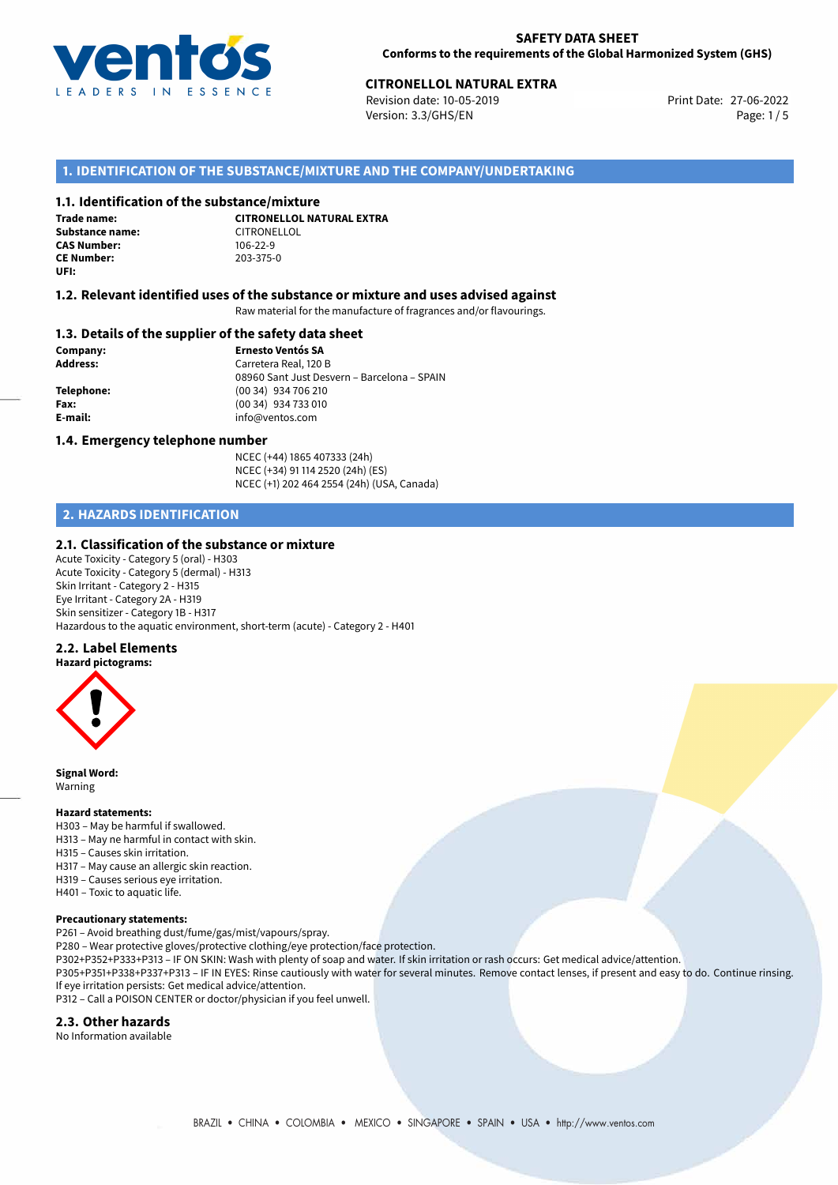

# 27-06-2022 **CITRONELLOL NATURAL EXTRA**

Revision date: 10-05-2019 Version: 3.3/GHS/EN Page: 1/5

# **1. IDENTIFICATION OF THE SUBSTANCE/MIXTURE AND THE COMPANY/UNDERTAKING**

# **1.1. Identification of the substance/mixture**

**Trade name: Substance name:** CITRONELLOL<br> **CAS Number:** 106-22-9 **CAS Number: CE Number:** 203-375-0 **UFI:**

**CITRONELLOL NATURAL EXTRA**

### **1.2. Relevant identified uses of the substance or mixture and uses advised against**

Raw material for the manufacture of fragrances and/or flavourings.

# **1.3. Details of the supplier of the safety data sheet**

**Company: Ernesto Ventós SA Address:** Carretera Real, 120 B 08960 Sant Just Desvern – Barcelona – SPAIN **Telephone:** (00 34) 934 706 210 **Fax:** (00 34) 934 733 010 **E-mail:** info@ventos.com

#### **1.4. Emergency telephone number**

NCEC (+44) 1865 407333 (24h) NCEC (+34) 91 114 2520 (24h) (ES) NCEC (+1) 202 464 2554 (24h) (USA, Canada)

# **2. HAZARDS IDENTIFICATION**

# **2.1. Classification of the substance or mixture**

Acute Toxicity - Category 5 (oral) - H303 Acute Toxicity - Category 5 (dermal) - H313 Skin Irritant - Category 2 - H315 Eye Irritant - Category 2A - H319 Skin sensitizer - Category 1B - H317 Hazardous to the aquatic environment, short-term (acute) - Category 2 - H401

#### **2.2. Label Elements**



**Signal Word:** Warning

#### **Hazard statements:**

H303 – May be harmful if swallowed. H313 – May ne harmful in contact with skin. H315 – Causes skin irritation. H317 – May cause an allergic skin reaction. H319 – Causes serious eye irritation. H401 – Toxic to aquatic life.

#### **Precautionary statements:**

P261 – Avoid breathing dust/fume/gas/mist/vapours/spray.

P280 – Wear protective gloves/protective clothing/eye protection/face protection.

P302+P352+P333+P313 – IF ON SKIN: Wash with plenty of soap and water. If skin irritation or rash occurs: Get medical advice/attention.

P305+P351+P338+P337+P313 – IF IN EYES: Rinse cautiously with water for several minutes. Remove contact lenses, if present and easy to do. Continue rinsing. If eye irritation persists: Get medical advice/attention.

P312 – Call a POISON CENTER or doctor/physician if you feel unwell.

#### **2.3. Other hazards**

No Information available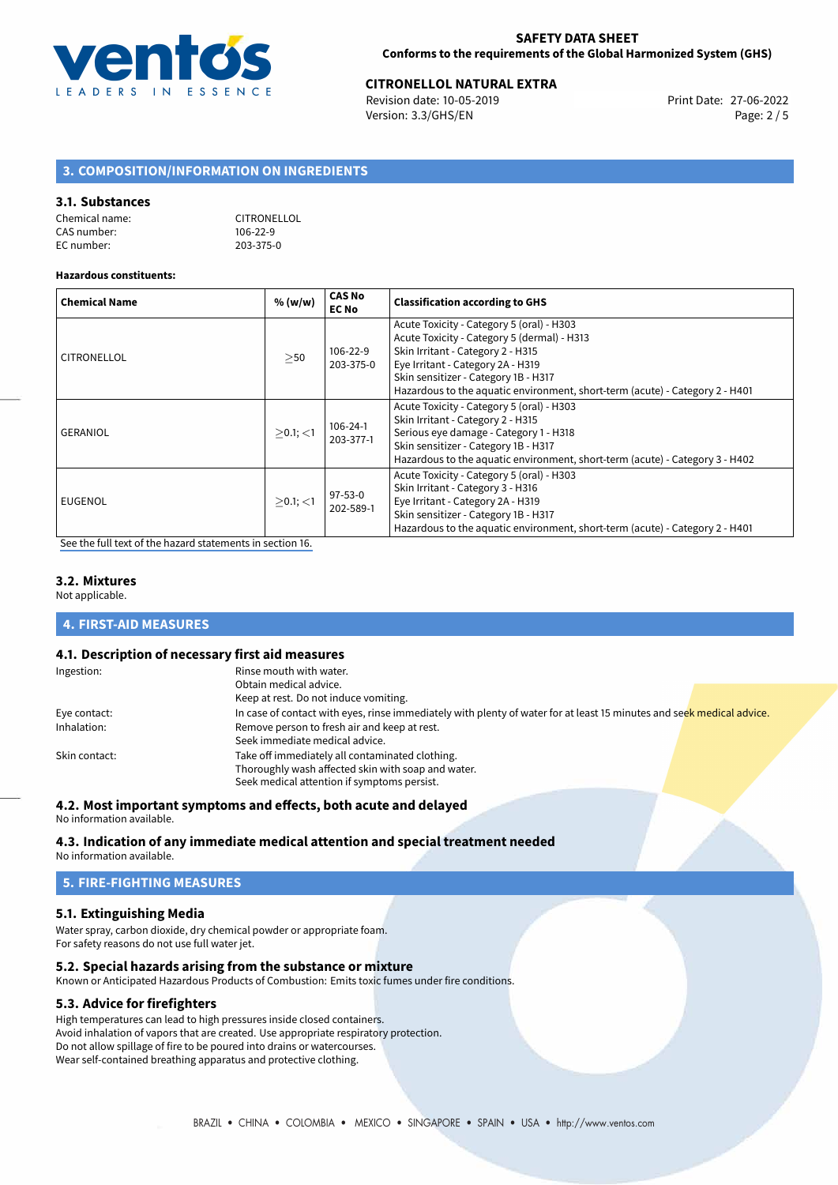

# **CITRONELLOL NATURAL EXTRA**<br>
Revision date: 10-05-2019<br> **Print Date: 27-06-2022**

Revision date: 10-05-2019 Version: 3.3/GHS/EN Page: 2 / 5

# **3. COMPOSITION/INFORMATION ON INGREDIENTS**

# **3.1. Substances**

| Chemical name: | <b>CITRONELLOL</b> |
|----------------|--------------------|
| CAS number:    | $106 - 22 - 9$     |
| EC number:     | 203-375-0          |

#### **Hazardous constituents:**

| <b>Chemical Name</b> | % (w/w)     | <b>CAS No</b><br><b>EC No</b> | <b>Classification according to GHS</b>                                                                                                                                                                                                                                                     |
|----------------------|-------------|-------------------------------|--------------------------------------------------------------------------------------------------------------------------------------------------------------------------------------------------------------------------------------------------------------------------------------------|
| CITRONELLOL          | >50         | 106-22-9<br>203-375-0         | Acute Toxicity - Category 5 (oral) - H303<br>Acute Toxicity - Category 5 (dermal) - H313<br>Skin Irritant - Category 2 - H315<br>Eye Irritant - Category 2A - H319<br>Skin sensitizer - Category 1B - H317<br>Hazardous to the aquatic environment, short-term (acute) - Category 2 - H401 |
| <b>GERANIOL</b>      | $>0.1$ ; <1 | $106 - 24 - 1$<br>203-377-1   | Acute Toxicity - Category 5 (oral) - H303<br>Skin Irritant - Category 2 - H315<br>Serious eye damage - Category 1 - H318<br>Skin sensitizer - Category 1B - H317<br>Hazardous to the aquatic environment, short-term (acute) - Category 3 - H402                                           |
| EUGENOL              | $>0.1$ ; <1 | 97-53-0<br>202-589-1          | Acute Toxicity - Category 5 (oral) - H303<br>Skin Irritant - Category 3 - H316<br>Eye Irritant - Category 2A - H319<br>Skin sensitizer - Category 1B - H317<br>Hazardous to the aquatic environment, short-term (acute) - Category 2 - H401                                                |

[See the full text of the hazard statements in section 16.](#page-4-0)

# **3.2. Mixtures**

Not applicable.

# **4. FIRST-AID MEASURES**

### **4.1. Description of necessary first aid measures**

| Ingestion:    | Rinse mouth with water.                                                                                               |  |  |  |  |
|---------------|-----------------------------------------------------------------------------------------------------------------------|--|--|--|--|
|               | Obtain medical advice.                                                                                                |  |  |  |  |
|               | Keep at rest. Do not induce vomiting.                                                                                 |  |  |  |  |
| Eye contact:  | In case of contact with eyes, rinse immediately with plenty of water for at least 15 minutes and seek medical advice. |  |  |  |  |
| Inhalation:   | Remove person to fresh air and keep at rest.                                                                          |  |  |  |  |
|               | Seek immediate medical advice.                                                                                        |  |  |  |  |
| Skin contact: | Take off immediately all contaminated clothing.                                                                       |  |  |  |  |
|               | Thoroughly wash affected skin with soap and water.                                                                    |  |  |  |  |
|               | Seek medical attention if symptoms persist.                                                                           |  |  |  |  |

#### **4.2. Most important symptoms and effects, both acute and delayed**

No information available.

# **4.3. Indication of any immediate medical attention and special treatment needed**

No information available.

# **5. FIRE-FIGHTING MEASURES**

# **5.1. Extinguishing Media**

Water spray, carbon dioxide, dry chemical powder or appropriate foam. For safety reasons do not use full water jet.

#### **5.2. Special hazards arising from the substance or mixture**

Known or Anticipated Hazardous Products of Combustion: Emits toxic fumes under fire conditions.

#### **5.3. Advice for firefighters**

High temperatures can lead to high pressures inside closed containers. Avoid inhalation of vapors that are created. Use appropriate respiratory protection. Do not allow spillage of fire to be poured into drains or watercourses. Wear self-contained breathing apparatus and protective clothing.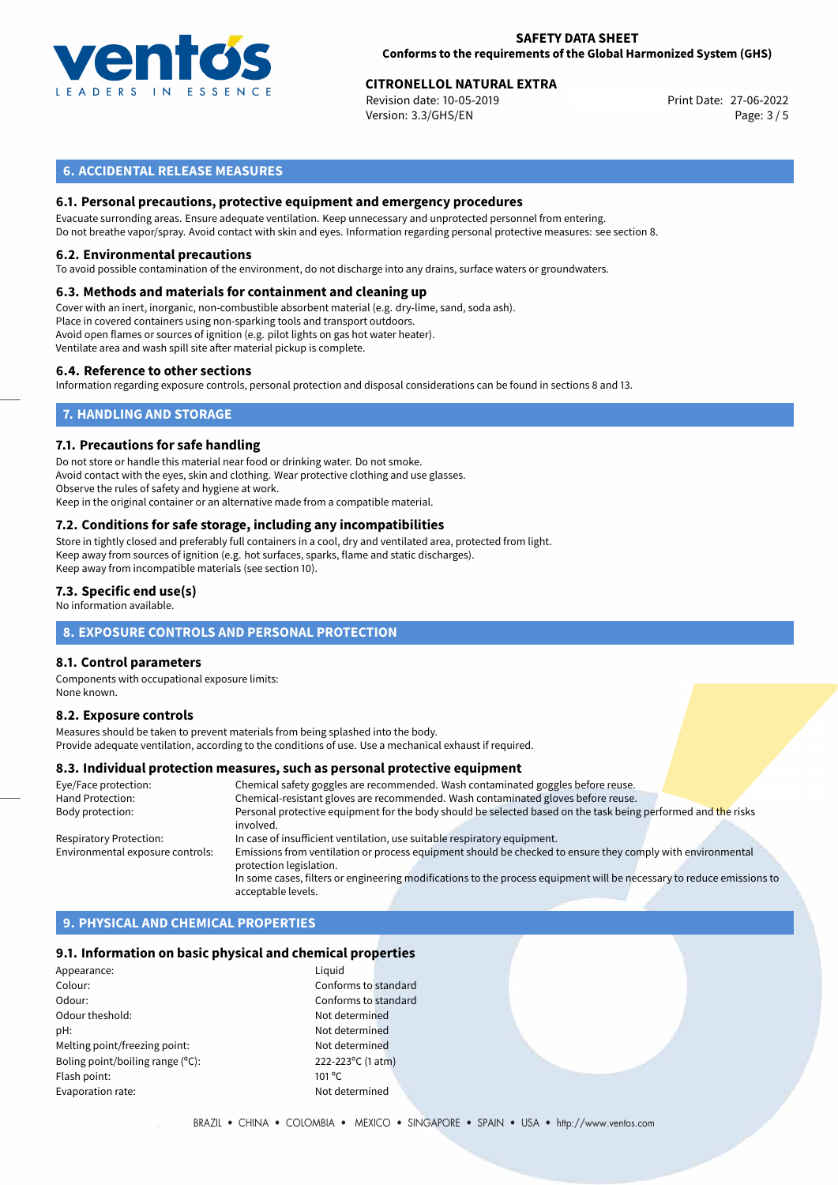

# 27-06-2022 **CITRONELLOL NATURAL EXTRA**

Revision date: 10-05-2019 Version: 3.3/GHS/EN Page: 3 / 5

# **6. ACCIDENTAL RELEASE MEASURES**

# **6.1. Personal precautions, protective equipment and emergency procedures**

Evacuate surronding areas. Ensure adequate ventilation. Keep unnecessary and unprotected personnel from entering. Do not breathe vapor/spray. Avoid contact with skin and eyes. Information regarding personal protective measures: see section 8.

#### **6.2. Environmental precautions**

To avoid possible contamination of the environment, do not discharge into any drains, surface waters or groundwaters.

#### **6.3. Methods and materials for containment and cleaning up**

Cover with an inert, inorganic, non-combustible absorbent material (e.g. dry-lime, sand, soda ash). Place in covered containers using non-sparking tools and transport outdoors. Avoid open flames or sources of ignition (e.g. pilot lights on gas hot water heater). Ventilate area and wash spill site after material pickup is complete.

#### **6.4. Reference to other sections**

Information regarding exposure controls, personal protection and disposal considerations can be found in sections 8 and 13.

# **7. HANDLING AND STORAGE**

#### **7.1. Precautions for safe handling**

Do not store or handle this material near food or drinking water. Do not smoke. Avoid contact with the eyes, skin and clothing. Wear protective clothing and use glasses. Observe the rules of safety and hygiene at work. Keep in the original container or an alternative made from a compatible material.

# **7.2. Conditions for safe storage, including any incompatibilities**

Store in tightly closed and preferably full containers in a cool, dry and ventilated area, protected from light. Keep away from sources of ignition (e.g. hot surfaces, sparks, flame and static discharges). Keep away from incompatible materials (see section 10).

#### **7.3. Specific end use(s)**

No information available.

# **8. EXPOSURE CONTROLS AND PERSONAL PROTECTION**

# **8.1. Control parameters**

Components with occupational exposure limits: None known.

#### **8.2. Exposure controls**

Measures should be taken to prevent materials from being splashed into the body. Provide adequate ventilation, according to the conditions of use. Use a mechanical exhaust if required.

#### **8.3. Individual protection measures, such as personal protective equipment**

| Eye/Face protection:             | Chemical safety goggles are recommended. Wash contaminated goggles before reuse.                                                      |  |  |  |
|----------------------------------|---------------------------------------------------------------------------------------------------------------------------------------|--|--|--|
| Hand Protection:                 | Chemical-resistant gloves are recommended. Wash contaminated gloves before reuse.                                                     |  |  |  |
| Body protection:                 | Personal protective equipment for the body should be selected based on the task being performed and the risks<br>involved.            |  |  |  |
| Respiratory Protection:          | In case of insufficient ventilation, use suitable respiratory equipment.                                                              |  |  |  |
| Environmental exposure controls: | Emissions from ventilation or process equipment should be checked to ensure they comply with environmental<br>protection legislation. |  |  |  |
|                                  | In some cases, filters or engineering modifications to the process equipment will be necessary to reduce emissions to                 |  |  |  |
|                                  | acceptable levels.                                                                                                                    |  |  |  |

# **9. PHYSICAL AND CHEMICAL PROPERTIES**

#### **9.1. Information on basic physical and chemical properties**

Appearance: Liquid Colour: Colour: Colour: Conforms to standard Odour: Conforms to standard Odour theshold: Not determined pH: Not determined Melting point/freezing point: Not determined Boling point/boiling range (°C): 222-223°C (1 atm) Flash point: 101 °C Evaporation rate: Not determined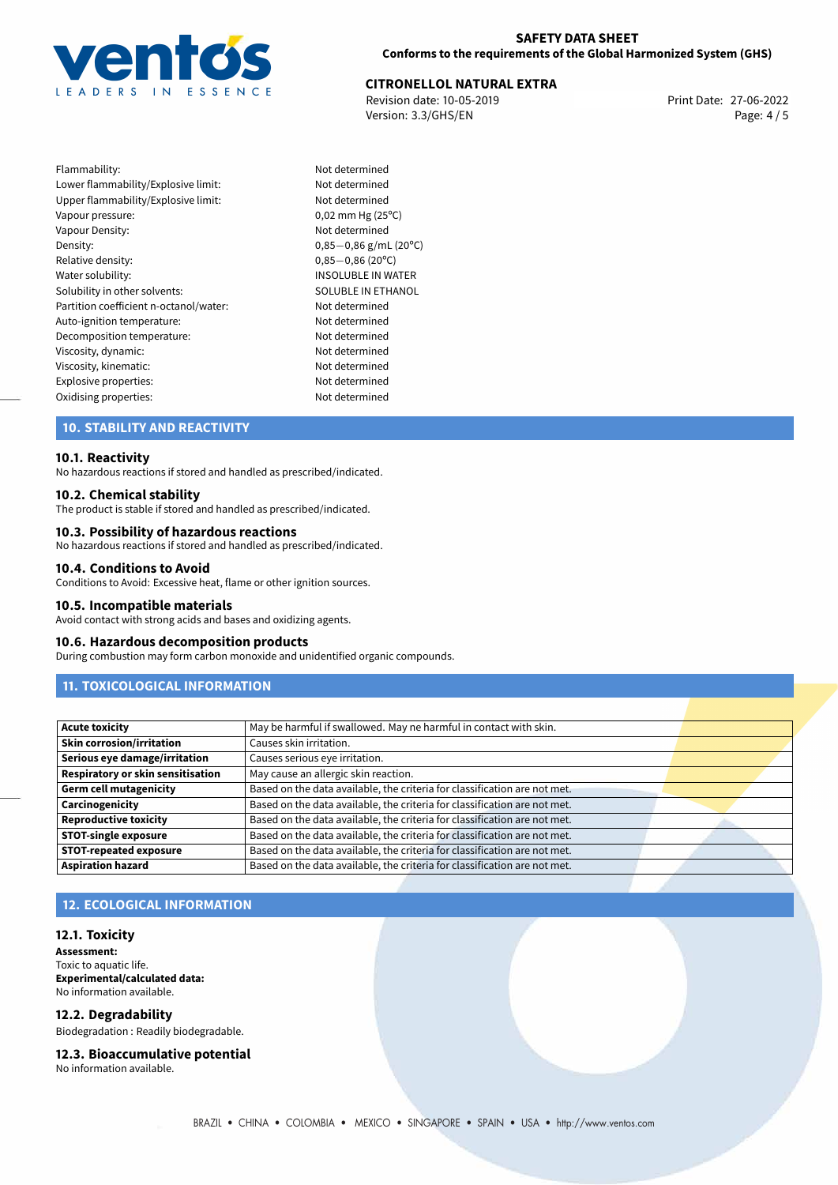

# 27-06-2022 **CITRONELLOL NATURAL EXTRA**

Revision date: 10-05-2019 Version: 3.3/GHS/EN Page: 4 / 5

Flammability: Not determined Lower flammability/Explosive limit: Not determined Upper flammability/Explosive limit: Not determined Vapour pressure: 0,02 mm Hg (25°C) Vapour Density: Not determined Density: 0,85−0,86 g/mL (20°C)<br>Relative density: 0,85−0,86 (20°C) Relative density: 0,85−0,86 (20°C)<br>Water solubility: 0,85−0,86 (20°C) Solubility in other solvents: SOLUBLE IN ETHANOL Partition coefficient n-octanol/water: Not determined Auto-ignition temperature: Not determined Decomposition temperature: Not determined Viscosity, dynamic: Not determined Viscosity, kinematic: Not determined Explosive properties: Not determined Oxidising properties: Not determined

INSOLUBLE IN WATER

# **10. STABILITY AND REACTIVITY**

#### **10.1. Reactivity**

No hazardous reactions if stored and handled as prescribed/indicated.

#### **10.2. Chemical stability**

The product is stable if stored and handled as prescribed/indicated.

# **10.3. Possibility of hazardous reactions**

No hazardous reactions if stored and handled as prescribed/indicated.

#### **10.4. Conditions to Avoid**

Conditions to Avoid: Excessive heat, flame or other ignition sources.

#### **10.5. Incompatible materials**

Avoid contact with strong acids and bases and oxidizing agents.

#### **10.6. Hazardous decomposition products**

During combustion may form carbon monoxide and unidentified organic compounds.

# **11. TOXICOLOGICAL INFORMATION**

| <b>Acute toxicity</b>                    | May be harmful if swallowed. May ne harmful in contact with skin.         |  |
|------------------------------------------|---------------------------------------------------------------------------|--|
| <b>Skin corrosion/irritation</b>         | Causes skin irritation.                                                   |  |
| Serious eye damage/irritation            | Causes serious eye irritation.                                            |  |
| <b>Respiratory or skin sensitisation</b> | May cause an allergic skin reaction.                                      |  |
| <b>Germ cell mutagenicity</b>            | Based on the data available, the criteria for classification are not met. |  |
| Carcinogenicity                          | Based on the data available, the criteria for classification are not met. |  |
| <b>Reproductive toxicity</b>             | Based on the data available, the criteria for classification are not met. |  |
| <b>STOT-single exposure</b>              | Based on the data available, the criteria for classification are not met. |  |
| <b>STOT-repeated exposure</b>            | Based on the data available, the criteria for classification are not met. |  |
| <b>Aspiration hazard</b>                 | Based on the data available, the criteria for classification are not met. |  |

# **12. ECOLOGICAL INFORMATION**

#### **12.1. Toxicity**

**Assessment:** Toxic to aquatic life. **Experimental/calculated data:** No information available.

# **12.2. Degradability**

Biodegradation : Readily biodegradable.

#### **12.3. Bioaccumulative potential**

No information available.